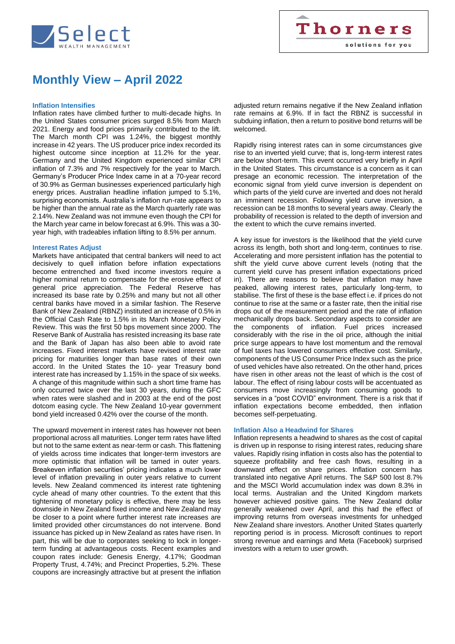

## **Monthly View – April 2022**

#### **Inflation Intensifies**

Inflation rates have climbed further to multi-decade highs. In the United States consumer prices surged 8.5% from March 2021. Energy and food prices primarily contributed to the lift. The March month CPI was 1.24%, the biggest monthly increase in 42 years. The US producer price index recorded its highest outcome since inception at 11.2% for the year. Germany and the United Kingdom experienced similar CPI inflation of 7.3% and 7% respectively for the year to March. Germany's Producer Price Index came in at a 70-year record of 30.9% as German businesses experienced particularly high energy prices. Australian headline inflation jumped to 5.1%, surprising economists. Australia's inflation run-rate appears to be higher than the annual rate as the March quarterly rate was 2.14%. New Zealand was not immune even though the CPI for the March year came in below forecast at 6.9%. This was a 30 year high, with tradeables inflation lifting to 8.5% per annum.

#### **Interest Rates Adjust**

Markets have anticipated that central bankers will need to act decisively to quell inflation before inflation expectations become entrenched and fixed income investors require a higher nominal return to compensate for the erosive effect of general price appreciation. The Federal Reserve has increased its base rate by 0.25% and many but not all other central banks have moved in a similar fashion. The Reserve Bank of New Zealand (RBNZ) instituted an increase of 0.5% in the Official Cash Rate to 1.5% in its March Monetary Policy Review. This was the first 50 bps movement since 2000. The Reserve Bank of Australia has resisted increasing its base rate and the Bank of Japan has also been able to avoid rate increases. Fixed interest markets have revised interest rate pricing for maturities longer than base rates of their own accord. In the United States the 10- year Treasury bond interest rate has increased by 1.15% in the space of six weeks. A change of this magnitude within such a short time frame has only occurred twice over the last 30 years, during the GFC when rates were slashed and in 2003 at the end of the post dotcom easing cycle. The New Zealand 10-year government bond yield increased 0.42% over the course of the month.

The upward movement in interest rates has however not been proportional across all maturities. Longer term rates have lifted but not to the same extent as near-term or cash. This flattening of yields across time indicates that longer-term investors are more optimistic that inflation will be tamed in outer years. Breakeven inflation securities' pricing indicates a much lower level of inflation prevailing in outer years relative to current levels. New Zealand commenced its interest rate tightening cycle ahead of many other countries. To the extent that this tightening of monetary policy is effective, there may be less downside in New Zealand fixed income and New Zealand may be closer to a point where further interest rate increases are limited provided other circumstances do not intervene. Bond issuance has picked up in New Zealand as rates have risen. In part, this will be due to corporates seeking to lock in longerterm funding at advantageous costs. Recent examples and coupon rates include: Genesis Energy, 4.17%; Goodman Property Trust, 4.74%; and Precinct Properties, 5.2%. These coupons are increasingly attractive but at present the inflation adjusted return remains negative if the New Zealand inflation rate remains at 6.9%. If in fact the RBNZ is successful in subduing inflation, then a return to positive bond returns will be welcomed.

Rapidly rising interest rates can in some circumstances give rise to an inverted yield curve; that is, long-term interest rates are below short-term. This event occurred very briefly in April in the United States. This circumstance is a concern as it can presage an economic recession. The interpretation of the economic signal from yield curve inversion is dependent on which parts of the yield curve are inverted and does not herald an imminent recession. Following yield curve inversion, a recession can be 18 months to several years away. Clearly the probability of recession is related to the depth of inversion and the extent to which the curve remains inverted.

A key issue for investors is the likelihood that the yield curve across its length, both short and long-term, continues to rise. Accelerating and more persistent inflation has the potential to shift the yield curve above current levels (noting that the current yield curve has present inflation expectations priced in). There are reasons to believe that inflation may have peaked, allowing interest rates, particularly long-term, to stabilise. The first of these is the base effect i.e. if prices do not continue to rise at the same or a faster rate, then the initial rise drops out of the measurement period and the rate of inflation mechanically drops back. Secondary aspects to consider are the components of inflation. Fuel prices increased considerably with the rise in the oil price, although the initial price surge appears to have lost momentum and the removal of fuel taxes has lowered consumers effective cost. Similarly, components of the US Consumer Price Index such as the price of used vehicles have also retreated. On the other hand, prices have risen in other areas not the least of which is the cost of labour. The effect of rising labour costs will be accentuated as consumers move increasingly from consuming goods to services in a "post COVID" environment. There is a risk that if inflation expectations become embedded, then inflation becomes self-perpetuating.

#### **Inflation Also a Headwind for Shares**

Inflation represents a headwind to shares as the cost of capital is driven up in response to rising interest rates, reducing share values. Rapidly rising inflation in costs also has the potential to squeeze profitability and free cash flows, resulting in a downward effect on share prices. Inflation concern has translated into negative April returns. The S&P 500 lost 8.7% and the MSCI World accumulation index was down 8.3% in local terms. Australian and the United Kingdom markets however achieved positive gains. The New Zealand dollar generally weakened over April, and this had the effect of improving returns from overseas investments for unhedged New Zealand share investors. Another United States quarterly reporting period is in process. Microsoft continues to report strong revenue and earnings and Meta (Facebook) surprised investors with a return to user growth.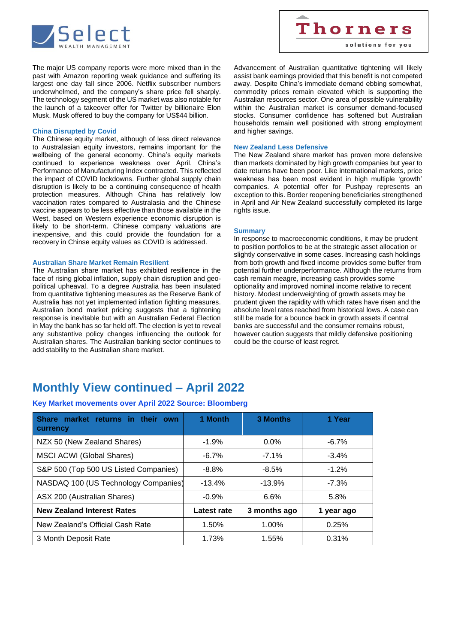

The major US company reports were more mixed than in the past with Amazon reporting weak guidance and suffering its largest one day fall since 2006. Netflix subscriber numbers underwhelmed, and the company's share price fell sharply. The technology segment of the US market was also notable for the launch of a takeover offer for Twitter by billionaire Elon Musk. Musk offered to buy the company for US\$44 billion.

#### **China Disrupted by Covid**

The Chinese equity market, although of less direct relevance to Australasian equity investors, remains important for the wellbeing of the general economy. China's equity markets continued to experience weakness over April. China's Performance of Manufacturing Index contracted. This reflected the impact of COVID lockdowns. Further global supply chain disruption is likely to be a continuing consequence of health protection measures. Although China has relatively low vaccination rates compared to Australasia and the Chinese vaccine appears to be less effective than those available in the West, based on Western experience economic disruption is likely to be short-term. Chinese company valuations are inexpensive, and this could provide the foundation for a recovery in Chinse equity values as COVID is addressed.

#### **Australian Share Market Remain Resilient**

The Australian share market has exhibited resilience in the face of rising global inflation, supply chain disruption and geopolitical upheaval. To a degree Australia has been insulated from quantitative tightening measures as the Reserve Bank of Australia has not yet implemented inflation fighting measures. Australian bond market pricing suggests that a tightening response is inevitable but with an Australian Federal Election in May the bank has so far held off. The election is yet to reveal any substantive policy changes influencing the outlook for Australian shares. The Australian banking sector continues to add stability to the Australian share market.

Advancement of Australian quantitative tightening will likely assist bank earnings provided that this benefit is not competed away. Despite China's immediate demand ebbing somewhat, commodity prices remain elevated which is supporting the Australian resources sector. One area of possible vulnerability within the Australian market is consumer demand-focused stocks. Consumer confidence has softened but Australian households remain well positioned with strong employment and higher savings.

#### **New Zealand Less Defensive**

The New Zealand share market has proven more defensive than markets dominated by high growth companies but year to date returns have been poor. Like international markets, price weakness has been most evident in high multiple 'growth' companies. A potential offer for Pushpay represents an exception to this. Border reopening beneficiaries strengthened in April and Air New Zealand successfully completed its large rights issue.

#### **Summary**

In response to macroeconomic conditions, it may be prudent to position portfolios to be at the strategic asset allocation or slightly conservative in some cases. Increasing cash holdings from both growth and fixed income provides some buffer from potential further underperformance. Although the returns from cash remain meagre, increasing cash provides some optionality and improved nominal income relative to recent history. Modest underweighting of growth assets may be prudent given the rapidity with which rates have risen and the absolute level rates reached from historical lows. A case can still be made for a bounce back in growth assets if central banks are successful and the consumer remains robust, however caution suggests that mildly defensive positioning could be the course of least regret.

### **Monthly View continued – April 2022**

#### **Key Market movements over April 2022 Source: Bloomberg**

| market returns in their own<br><b>Share</b><br>currency | 1 Month     | <b>3 Months</b> | 1 Year     |
|---------------------------------------------------------|-------------|-----------------|------------|
| NZX 50 (New Zealand Shares)                             | $-1.9%$     | $0.0\%$         | $-6.7\%$   |
| <b>MSCI ACWI (Global Shares)</b>                        | $-6.7\%$    | $-7.1\%$        | $-3.4%$    |
| S&P 500 (Top 500 US Listed Companies)                   | $-8.8\%$    | $-8.5%$         | $-1.2%$    |
| NASDAQ 100 (US Technology Companies)                    | $-13.4%$    | $-13.9%$        | $-7.3%$    |
| ASX 200 (Australian Shares)                             | $-0.9%$     | 6.6%            | 5.8%       |
| <b>New Zealand Interest Rates</b>                       | Latest rate | 3 months ago    | 1 year ago |
| New Zealand's Official Cash Rate                        | 1.50%       | 1.00%           | 0.25%      |
| 3 Month Deposit Rate                                    | 1.73%       | 1.55%           | 0.31%      |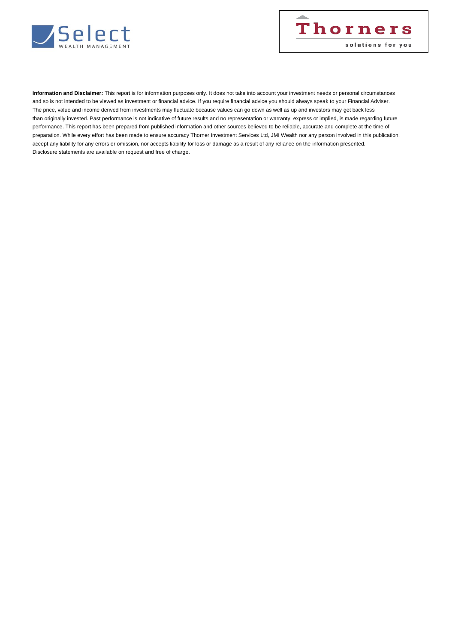



**Information and Disclaimer:** This report is for information purposes only. It does not take into account your investment needs or personal circumstances and so is not intended to be viewed as investment or financial advice. If you require financial advice you should always speak to your Financial Adviser. The price, value and income derived from investments may fluctuate because values can go down as well as up and investors may get back less than originally invested. Past performance is not indicative of future results and no representation or warranty, express or implied, is made regarding future performance. This report has been prepared from published information and other sources believed to be reliable, accurate and complete at the time of preparation. While every effort has been made to ensure accuracy Thorner Investment Services Ltd, JMI Wealth nor any person involved in this publication, accept any liability for any errors or omission, nor accepts liability for loss or damage as a result of any reliance on the information presented. Disclosure statements are available on request and free of charge.